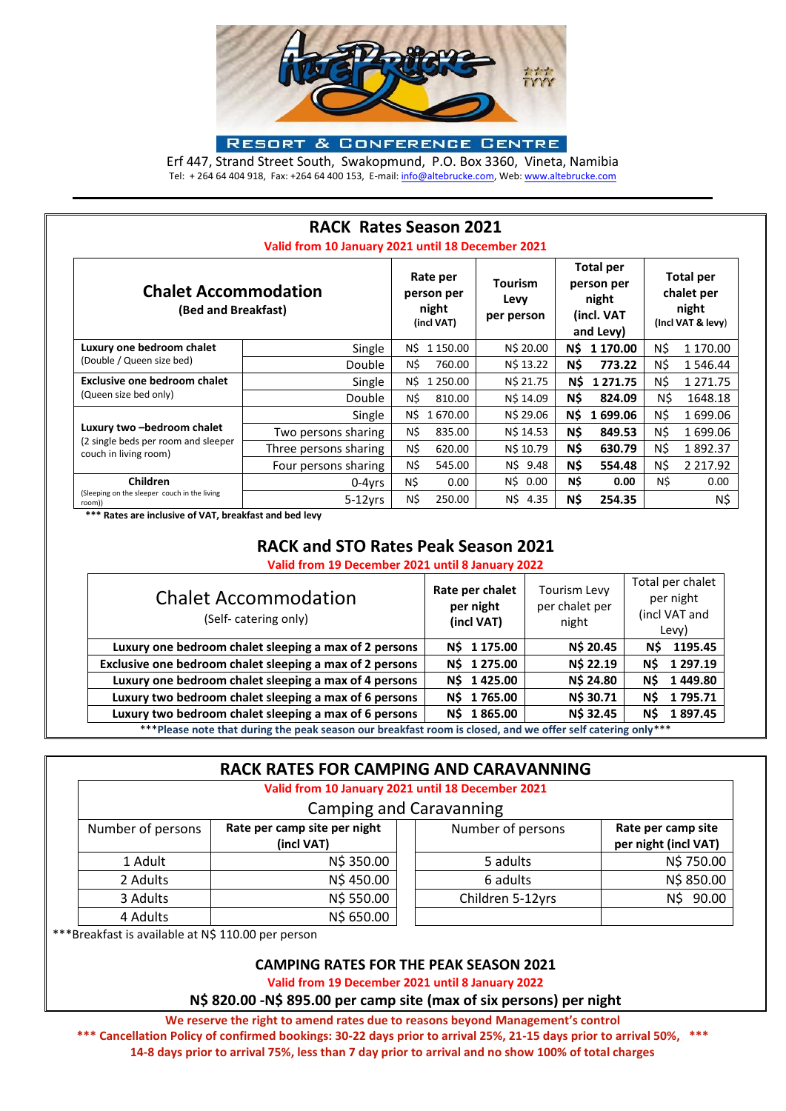

**RESORT & CONFERENCE CENTRE** 

Erf 447, Strand Street South, Swakopmund, P.O. Box 3360, Vineta, Namibia Tel: + 264 64 404 918, Fax: +264 64 400 153, E-mail[: info@altebrucke.com,](mailto:info@altebrucke.com) Web[: www.altebrucke.com](http://www.altebrucke.com/)

|                                                                                            | <b>RACK Rates Season 2021</b><br>Valid from 10 January 2021 until 18 December 2021 |                                               |                                      |                                                                    |                                                              |
|--------------------------------------------------------------------------------------------|------------------------------------------------------------------------------------|-----------------------------------------------|--------------------------------------|--------------------------------------------------------------------|--------------------------------------------------------------|
| <b>Chalet Accommodation</b><br>(Bed and Breakfast)                                         |                                                                                    | Rate per<br>person per<br>night<br>(incl VAT) | <b>Tourism</b><br>Levy<br>per person | <b>Total per</b><br>person per<br>night<br>(incl. VAT<br>and Levy) | <b>Total per</b><br>chalet per<br>night<br>(Incl VAT & levy) |
| Luxury one bedroom chalet<br>(Double / Queen size bed)                                     | Single                                                                             | N\$<br>1 150.00                               | N\$ 20.00                            | N\$<br>1 170.00                                                    | N\$<br>1 170.00                                              |
|                                                                                            | Double                                                                             | N\$<br>760.00                                 | N\$ 13.22                            | N\$<br>773.22                                                      | N\$<br>1 546.44                                              |
| Exclusive one bedroom chalet<br>(Queen size bed only)                                      | Single                                                                             | N\$<br>1 250.00                               | N\$ 21.75                            | N\$<br>1 2 7 1 . 7 5                                               | N\$<br>1 2 7 1 . 7 5                                         |
|                                                                                            | <b>Double</b>                                                                      | N\$<br>810.00                                 | N\$ 14.09                            | N\$<br>824.09                                                      | N\$<br>1648.18                                               |
| Luxury two -bedroom chalet<br>(2 single beds per room and sleeper<br>couch in living room) | Single                                                                             | N\$<br>1 670.00                               | N\$ 29.06                            | N\$<br>1699.06                                                     | N\$<br>1699.06                                               |
|                                                                                            | Two persons sharing                                                                | N\$<br>835.00                                 | N\$ 14.53                            | N\$<br>849.53                                                      | N\$<br>1699.06                                               |
|                                                                                            | Three persons sharing                                                              | N\$<br>620.00                                 | N\$ 10.79                            | N\$<br>630.79                                                      | N\$<br>1892.37                                               |
|                                                                                            | Four persons sharing                                                               | N\$<br>545.00                                 | N\$ 9.48                             | N\$<br>554.48                                                      | N\$<br>2 2 1 7 . 9 2                                         |
| Children<br>(Sleeping on the sleeper couch in the living<br>room))                         | 0-4yrs                                                                             | N\$<br>0.00                                   | N\$<br>0.00                          | N\$<br>0.00                                                        | N\$<br>0.00                                                  |
|                                                                                            | $5-12$ vrs                                                                         | N\$<br>250.00                                 | N\$<br>4.35                          | N\$<br>254.35                                                      | N\$                                                          |

 **\*\*\* Rates are inclusive of VAT, breakfast and bed levy**

# **RACK and STO Rates Peak Season 2021**

**Valid from 19 December 2021 until 8 January 2022**

| <b>Chalet Accommodation</b><br>(Self-catering only)                                                         | Rate per chalet<br>per night<br>(incl VAT) | <b>Tourism Levy</b><br>per chalet per<br>night | Total per chalet<br>per night<br>(incl VAT and<br>Levy) |  |  |
|-------------------------------------------------------------------------------------------------------------|--------------------------------------------|------------------------------------------------|---------------------------------------------------------|--|--|
| Luxury one bedroom chalet sleeping a max of 2 persons                                                       | N\$ 1 175.00                               | N\$ 20.45                                      | 1195.45<br>N\$                                          |  |  |
| Exclusive one bedroom chalet sleeping a max of 2 persons                                                    | 1 275.00<br>N\$                            | N\$ 22.19                                      | 1 297.19<br>N\$                                         |  |  |
| Luxury one bedroom chalet sleeping a max of 4 persons                                                       | 1425.00<br>N\$                             | <b>N\$ 24.80</b>                               | 1449.80<br>N\$                                          |  |  |
| Luxury two bedroom chalet sleeping a max of 6 persons                                                       | 1 765.00<br>N\$                            | N\$ 30.71                                      | 1795.71<br>N\$                                          |  |  |
| Luxury two bedroom chalet sleeping a max of 6 persons                                                       | 1865.00<br>N\$                             | <b>N\$32.45</b>                                | 1897.45<br>N\$                                          |  |  |
| ***Please note that during the peak season our breakfast room is closed, and we offer self catering only*** |                                            |                                                |                                                         |  |  |

## **RACK RATES FOR CAMPING AND CARAVANNING**

## **Valid from 10 January 2021 until 18 December 2021**

## Camping and Caravanning

| Number of persons | Rate per camp site per night<br>(incl VAT) | Number of persons | Rate per camp site<br>per night (incl VAT) |
|-------------------|--------------------------------------------|-------------------|--------------------------------------------|
| 1 Adult           | N\$ 350.00                                 | 5 adults          | N\$ 750.00                                 |
| 2 Adults          | N\$ 450.00                                 | 6 adults          | N\$ 850.00                                 |
| 3 Adults          | N\$ 550.00                                 | Children 5-12yrs  | 90.00<br>ΝŚ                                |
| 4 Adults          | N\$ 650.00                                 |                   |                                            |

\*\*\*Breakfast is available at N\$ 110.00 per person

### **CAMPING RATES FOR THE PEAK SEASON 2021**

**Valid from 19 December 2021 until 8 January 2022**

**N\$ 820.00 -N\$ 895.00 per camp site (max of six persons) per night**

**We reserve the right to amend rates due to reasons beyond Management's control \*\*\* Cancellation Policy of confirmed bookings: 30-22 days prior to arrival 25%, 21-15 days prior to arrival 50%, \*\*\* 14-8 days prior to arrival 75%, less than 7 day prior to arrival and no show 100% of total charges**